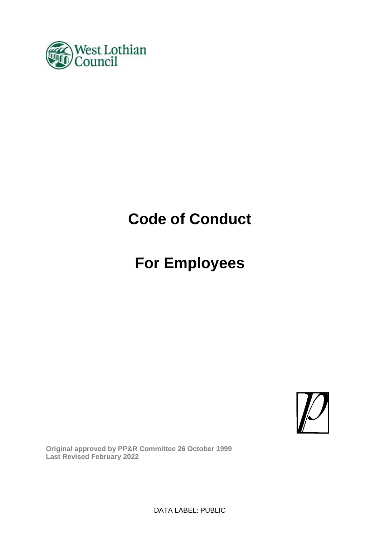

# **Code of Conduct**

# **For Employees**



**Original approved by PP&R Committee 26 October 1999 Last Revised February 2022**

DATA LABEL: PUBLIC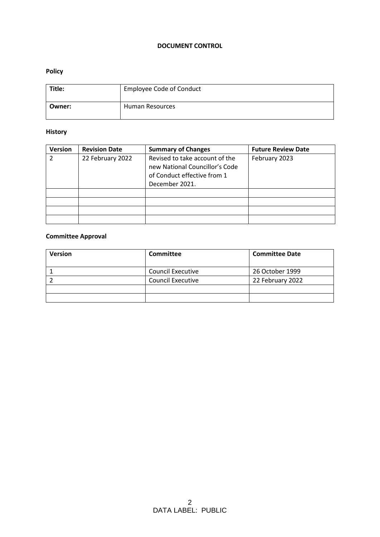#### **DOCUMENT CONTROL**

#### **Policy**

| Title: | <b>Employee Code of Conduct</b> |
|--------|---------------------------------|
| Owner: | <b>Human Resources</b>          |

#### **History**

| <b>Version</b> | <b>Revision Date</b> | <b>Summary of Changes</b>                                                                                         | <b>Future Review Date</b> |
|----------------|----------------------|-------------------------------------------------------------------------------------------------------------------|---------------------------|
|                | 22 February 2022     | Revised to take account of the<br>new National Councillor's Code<br>of Conduct effective from 1<br>December 2021. | February 2023             |
|                |                      |                                                                                                                   |                           |
|                |                      |                                                                                                                   |                           |
|                |                      |                                                                                                                   |                           |
|                |                      |                                                                                                                   |                           |

#### **Committee Approval**

| <b>Version</b> | <b>Committee</b>         | <b>Committee Date</b> |
|----------------|--------------------------|-----------------------|
|                | <b>Council Executive</b> | 26 October 1999       |
|                | <b>Council Executive</b> | 22 February 2022      |
|                |                          |                       |
|                |                          |                       |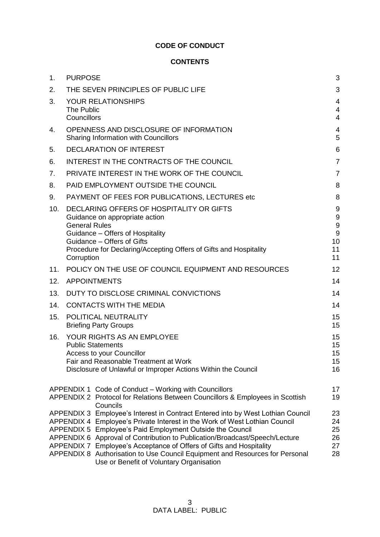#### **CODE OF CONDUCT**

#### **CONTENTS**

| 1.  | <b>PURPOSE</b>                     |                                                                                                                                                                                                                                                                                                                                                                                                                                                                                        | 3                                                                               |
|-----|------------------------------------|----------------------------------------------------------------------------------------------------------------------------------------------------------------------------------------------------------------------------------------------------------------------------------------------------------------------------------------------------------------------------------------------------------------------------------------------------------------------------------------|---------------------------------------------------------------------------------|
| 2.  |                                    | THE SEVEN PRINCIPLES OF PUBLIC LIFE                                                                                                                                                                                                                                                                                                                                                                                                                                                    | 3                                                                               |
| 3.  | The Public<br>Councillors          | YOUR RELATIONSHIPS                                                                                                                                                                                                                                                                                                                                                                                                                                                                     | 4<br>$\overline{4}$<br>$\overline{4}$                                           |
| 4.  |                                    | OPENNESS AND DISCLOSURE OF INFORMATION<br>Sharing Information with Councillors                                                                                                                                                                                                                                                                                                                                                                                                         | 4<br>5                                                                          |
| 5.  |                                    | <b>DECLARATION OF INTEREST</b>                                                                                                                                                                                                                                                                                                                                                                                                                                                         | 6                                                                               |
| 6.  |                                    | INTEREST IN THE CONTRACTS OF THE COUNCIL                                                                                                                                                                                                                                                                                                                                                                                                                                               | $\overline{7}$                                                                  |
| 7.  |                                    | PRIVATE INTEREST IN THE WORK OF THE COUNCIL                                                                                                                                                                                                                                                                                                                                                                                                                                            | $\overline{7}$                                                                  |
| 8.  |                                    | PAID EMPLOYMENT OUTSIDE THE COUNCIL                                                                                                                                                                                                                                                                                                                                                                                                                                                    | 8                                                                               |
| 9.  |                                    | PAYMENT OF FEES FOR PUBLICATIONS, LECTURES etc                                                                                                                                                                                                                                                                                                                                                                                                                                         | 8                                                                               |
| 10. | <b>General Rules</b><br>Corruption | DECLARING OFFERS OF HOSPITALITY OR GIFTS<br>Guidance on appropriate action<br>Guidance - Offers of Hospitality<br>Guidance - Offers of Gifts<br>Procedure for Declaring/Accepting Offers of Gifts and Hospitality                                                                                                                                                                                                                                                                      | 9<br>$\boldsymbol{9}$<br>$\boldsymbol{9}$<br>$\boldsymbol{9}$<br>10<br>11<br>11 |
| 11. |                                    | POLICY ON THE USE OF COUNCIL EQUIPMENT AND RESOURCES                                                                                                                                                                                                                                                                                                                                                                                                                                   | 12                                                                              |
| 12. |                                    | <b>APPOINTMENTS</b>                                                                                                                                                                                                                                                                                                                                                                                                                                                                    | 14                                                                              |
| 13. |                                    | DUTY TO DISCLOSE CRIMINAL CONVICTIONS                                                                                                                                                                                                                                                                                                                                                                                                                                                  | 14                                                                              |
| 14. |                                    | <b>CONTACTS WITH THE MEDIA</b>                                                                                                                                                                                                                                                                                                                                                                                                                                                         | 14                                                                              |
| 15. |                                    | POLITICAL NEUTRALITY<br><b>Briefing Party Groups</b>                                                                                                                                                                                                                                                                                                                                                                                                                                   | 15<br>15                                                                        |
| 16. |                                    | YOUR RIGHTS AS AN EMPLOYEE<br><b>Public Statements</b><br>Access to your Councillor<br>Fair and Reasonable Treatment at Work<br>Disclosure of Unlawful or Improper Actions Within the Council                                                                                                                                                                                                                                                                                          | 15<br>15<br>15<br>15<br>16                                                      |
|     |                                    | APPENDIX 1 Code of Conduct - Working with Councillors<br>APPENDIX 2 Protocol for Relations Between Councillors & Employees in Scottish<br>Councils                                                                                                                                                                                                                                                                                                                                     | 17<br>19                                                                        |
|     | APPENDIX 5<br>APPENDIX 7           | APPENDIX 3 Employee's Interest in Contract Entered into by West Lothian Council<br>APPENDIX 4 Employee's Private Interest in the Work of West Lothian Council<br>Employee's Paid Employment Outside the Council<br>APPENDIX 6 Approval of Contribution to Publication/Broadcast/Speech/Lecture<br>Employee's Acceptance of Offers of Gifts and Hospitality<br>APPENDIX 8 Authorisation to Use Council Equipment and Resources for Personal<br>Use or Benefit of Voluntary Organisation | 23<br>24<br>25<br>26<br>27<br>28                                                |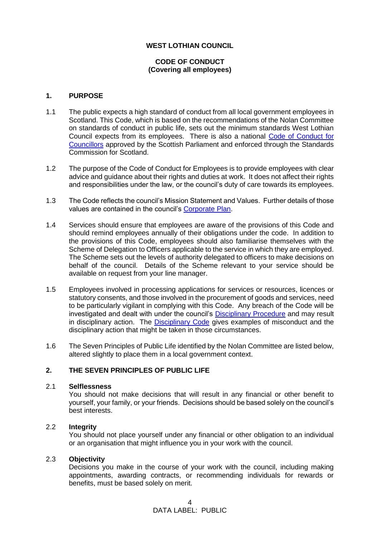#### **WEST LOTHIAN COUNCIL**

#### **CODE OF CONDUCT (Covering all employees)**

#### **1. PURPOSE**

- 1.1 The public expects a high standard of conduct from all local government employees in Scotland. This Code, which is based on the recommendations of the Nolan Committee on standards of conduct in public life, sets out the minimum standards West Lothian Council expects from its employees. There is also a national [Code of Conduct for](https://www.gov.scot/publications/code-conduct-councillors-2/pages/10/)  [Councillors](https://www.gov.scot/publications/code-conduct-councillors-2/pages/10/) approved by the Scottish Parliament and enforced through the Standards Commission for Scotland.
- 1.2 The purpose of the Code of Conduct for Employees is to provide employees with clear advice and guidance about their rights and duties at work. It does not affect their rights and responsibilities under the law, or the council's duty of care towards its employees.
- 1.3 The Code reflects the council's Mission Statement and Values. Further details of those values are contained in the council's [Corporate Plan.](https://www.westlothian.gov.uk/article/33026/Corporate-Plan)
- 1.4 Services should ensure that employees are aware of the provisions of this Code and should remind employees annually of their obligations under the code. In addition to the provisions of this Code, employees should also familiarise themselves with the Scheme of Delegation to Officers applicable to the service in which they are employed. The Scheme sets out the levels of authority delegated to officers to make decisions on behalf of the council. Details of the Scheme relevant to your service should be available on request from your line manager.
- 1.5 Employees involved in processing applications for services or resources, licences or statutory consents, and those involved in the procurement of goods and services, need to be particularly vigilant in complying with this Code. Any breach of the Code will be investigated and dealt with under the council's [Disciplinary Procedure](https://www.westlothian.gov.uk/article/33214/Discipline) and may result in disciplinary action. The [Disciplinary Code](https://www.westlothian.gov.uk/article/33214/Discipline) gives examples of misconduct and the disciplinary action that might be taken in those circumstances.
- 1.6 The Seven Principles of Public Life identified by the Nolan Committee are listed below, altered slightly to place them in a local government context.

#### **2. THE SEVEN PRINCIPLES OF PUBLIC LIFE**

#### 2.1 **Selflessness**

You should not make decisions that will result in any financial or other benefit to yourself, your family, or your friends. Decisions should be based solely on the council's best interests.

#### 2.2 **Integrity**

You should not place yourself under any financial or other obligation to an individual or an organisation that might influence you in your work with the council.

#### 2.3 **Objectivity**

Decisions you make in the course of your work with the council, including making appointments, awarding contracts, or recommending individuals for rewards or benefits, must be based solely on merit.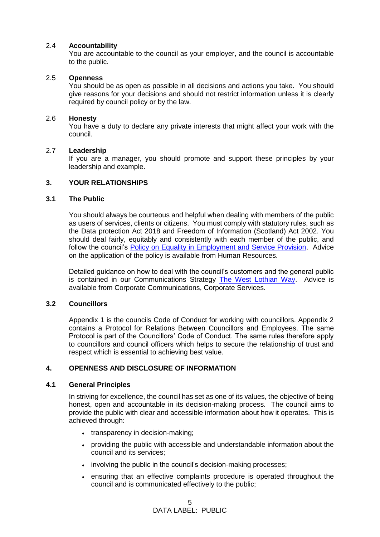#### 2.4 **Accountability**

You are accountable to the council as your employer, and the council is accountable to the public.

#### 2.5 **Openness**

You should be as open as possible in all decisions and actions you take. You should give reasons for your decisions and should not restrict information unless it is clearly required by council policy or by the law.

#### 2.6 **Honesty**

You have a duty to declare any private interests that might affect your work with the council.

#### 2.7 **Leadership**

If you are a manager, you should promote and support these principles by your leadership and example.

#### **3. YOUR RELATIONSHIPS**

#### **3.1 The Public**

You should always be courteous and helpful when dealing with members of the public as users of services, clients or citizens. You must comply with statutory rules, such as the Data protection Act 2018 and Freedom of Information (Scotland) Act 2002. You should deal fairly, equitably and consistently with each member of the public, and follow the council's **Policy on Equality in Employment and Service Provision**. Advice on the application of the policy is available from Human Resources.

Detailed guidance on how to deal with the council's customers and the general public is contained in our Communications Strategy [The West Lothian Way.](https://intranet.westlothian.gov.uk/westlothianway) Advice is available from Corporate Communications, Corporate Services.

#### **3.2 Councillors**

Appendix 1 is the councils Code of Conduct for working with councillors. Appendix 2 contains a Protocol for Relations Between Councillors and Employees. The same Protocol is part of the Councillors' Code of Conduct. The same rules therefore apply to councillors and council officers which helps to secure the relationship of trust and respect which is essential to achieving best value.

#### **4. OPENNESS AND DISCLOSURE OF INFORMATION**

#### **4.1 General Principles**

In striving for excellence, the council has set as one of its values, the objective of being honest, open and accountable in its decision-making process. The council aims to provide the public with clear and accessible information about how it operates. This is achieved through:

- transparency in decision-making;
- providing the public with accessible and understandable information about the council and its services;
- involving the public in the council's decision-making processes;
- ensuring that an effective complaints procedure is operated throughout the council and is communicated effectively to the public;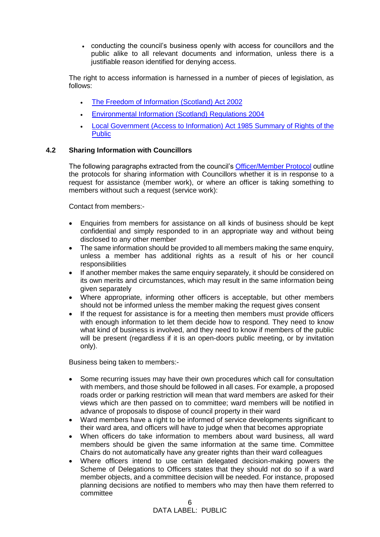• conducting the council's business openly with access for councillors and the public alike to all relevant documents and information, unless there is a justifiable reason identified for denying access.

The right to access information is harnessed in a number of pieces of legislation, as follows:

- [The Freedom of Information \(Scotland\) Act 2002](https://intranet.westlothian.gov.uk/article/43448/Freedom-of-Information)
- [Environmental Information \(Scotland\) Regulations 2004](https://intranet.westlothian.gov.uk/article/43449/Environmental-Information)
- [Local Government \(Access to Information\) Act 1985 Summary of Rights of the](http://www.legislation.gov.uk/ukpga/1985/43)  **[Public](http://www.legislation.gov.uk/ukpga/1985/43)**

#### **4.2 Sharing Information with Councillors**

The following paragraphs extracted from the council's [Officer/Member Protocol](https://intranet.westlothian.gov.uk/CHttpHandler.ashx?id=15441&p=0) outline the protocols for sharing information with Councillors whether it is in response to a request for assistance (member work), or where an officer is taking something to members without such a request (service work):

Contact from members:-

- Enquiries from members for assistance on all kinds of business should be kept confidential and simply responded to in an appropriate way and without being disclosed to any other member
- The same information should be provided to all members making the same enquiry, unless a member has additional rights as a result of his or her council responsibilities
- If another member makes the same enquiry separately, it should be considered on its own merits and circumstances, which may result in the same information being given separately
- Where appropriate, informing other officers is acceptable, but other members should not be informed unless the member making the request gives consent
- If the request for assistance is for a meeting then members must provide officers with enough information to let them decide how to respond. They need to know what kind of business is involved, and they need to know if members of the public will be present (regardless if it is an open-doors public meeting, or by invitation only).

Business being taken to members:-

- Some recurring issues may have their own procedures which call for consultation with members, and those should be followed in all cases. For example, a proposed roads order or parking restriction will mean that ward members are asked for their views which are then passed on to committee; ward members will be notified in advance of proposals to dispose of council property in their ward
- Ward members have a right to be informed of service developments significant to their ward area, and officers will have to judge when that becomes appropriate
- When officers do take information to members about ward business, all ward members should be given the same information at the same time. Committee Chairs do not automatically have any greater rights than their ward colleagues
- Where officers intend to use certain delegated decision-making powers the Scheme of Delegations to Officers states that they should not do so if a ward member objects, and a committee decision will be needed. For instance, proposed planning decisions are notified to members who may then have them referred to committee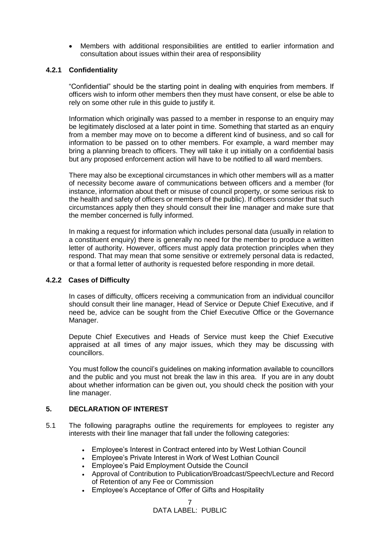• Members with additional responsibilities are entitled to earlier information and consultation about issues within their area of responsibility

#### **4.2.1 Confidentiality**

"Confidential" should be the starting point in dealing with enquiries from members. If officers wish to inform other members then they must have consent, or else be able to rely on some other rule in this guide to justify it.

Information which originally was passed to a member in response to an enquiry may be legitimately disclosed at a later point in time. Something that started as an enquiry from a member may move on to become a different kind of business, and so call for information to be passed on to other members. For example, a ward member may bring a planning breach to officers. They will take it up initially on a confidential basis but any proposed enforcement action will have to be notified to all ward members.

There may also be exceptional circumstances in which other members will as a matter of necessity become aware of communications between officers and a member (for instance, information about theft or misuse of council property, or some serious risk to the health and safety of officers or members of the public). If officers consider that such circumstances apply then they should consult their line manager and make sure that the member concerned is fully informed.

In making a request for information which includes personal data (usually in relation to a constituent enquiry) there is generally no need for the member to produce a written letter of authority. However, officers must apply data protection principles when they respond. That may mean that some sensitive or extremely personal data is redacted, or that a formal letter of authority is requested before responding in more detail.

#### **4.2.2 Cases of Difficulty**

In cases of difficulty, officers receiving a communication from an individual councillor should consult their line manager, Head of Service or Depute Chief Executive, and if need be, advice can be sought from the Chief Executive Office or the Governance Manager.

Depute Chief Executives and Heads of Service must keep the Chief Executive appraised at all times of any major issues, which they may be discussing with councillors.

You must follow the council's guidelines on making information available to councillors and the public and you must not break the law in this area. If you are in any doubt about whether information can be given out, you should check the position with your line manager.

#### **5. DECLARATION OF INTEREST**

- 5.1 The following paragraphs outline the requirements for employees to register any interests with their line manager that fall under the following categories:
	- Employee's Interest in Contract entered into by West Lothian Council
	- Employee's Private Interest in Work of West Lothian Council
	- Employee's Paid Employment Outside the Council
	- Approval of Contribution to Publication/Broadcast/Speech/Lecture and Record of Retention of any Fee or Commission
	- Employee's Acceptance of Offer of Gifts and Hospitality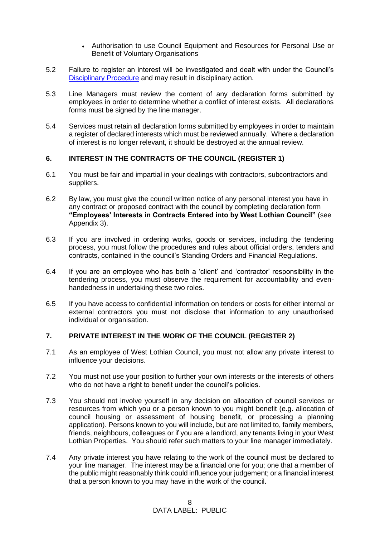- Authorisation to use Council Equipment and Resources for Personal Use or Benefit of Voluntary Organisations
- 5.2 Failure to register an interest will be investigated and dealt with under the Council's [Disciplinary Procedure](https://www.westlothian.gov.uk/article/33214/Discipline) and may result in disciplinary action.
- 5.3 Line Managers must review the content of any declaration forms submitted by employees in order to determine whether a conflict of interest exists. All declarations forms must be signed by the line manager.
- 5.4 Services must retain all declaration forms submitted by employees in order to maintain a register of declared interests which must be reviewed annually. Where a declaration of interest is no longer relevant, it should be destroyed at the annual review.

#### **6. INTEREST IN THE CONTRACTS OF THE COUNCIL (REGISTER 1)**

- 6.1 You must be fair and impartial in your dealings with contractors, subcontractors and suppliers.
- 6.2 By law, you must give the council written notice of any personal interest you have in any contract or proposed contract with the council by completing declaration form **"Employees' Interests in Contracts Entered into by West Lothian Council"** (see Appendix 3).
- 6.3 If you are involved in ordering works, goods or services, including the tendering process, you must follow the procedures and rules about official orders, tenders and contracts, contained in the council's Standing Orders and Financial Regulations.
- 6.4 If you are an employee who has both a 'client' and 'contractor' responsibility in the tendering process, you must observe the requirement for accountability and evenhandedness in undertaking these two roles.
- 6.5 If you have access to confidential information on tenders or costs for either internal or external contractors you must not disclose that information to any unauthorised individual or organisation.

#### **7. PRIVATE INTEREST IN THE WORK OF THE COUNCIL (REGISTER 2)**

- 7.1 As an employee of West Lothian Council, you must not allow any private interest to influence your decisions.
- 7.2 You must not use your position to further your own interests or the interests of others who do not have a right to benefit under the council's policies.
- 7.3 You should not involve yourself in any decision on allocation of council services or resources from which you or a person known to you might benefit (e.g. allocation of council housing or assessment of housing benefit, or processing a planning application). Persons known to you will include, but are not limited to, family members, friends, neighbours, colleagues or if you are a landlord, any tenants living in your West Lothian Properties. You should refer such matters to your line manager immediately.
- 7.4 Any private interest you have relating to the work of the council must be declared to your line manager. The interest may be a financial one for you; one that a member of the public might reasonably think could influence your judgement; or a financial interest that a person known to you may have in the work of the council.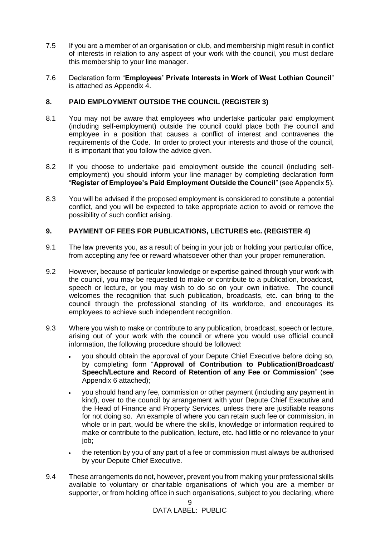- 7.5 If you are a member of an organisation or club, and membership might result in conflict of interests in relation to any aspect of your work with the council, you must declare this membership to your line manager.
- 7.6 Declaration form "**Employees' Private Interests in Work of West Lothian Council**" is attached as Appendix 4.

#### **8. PAID EMPLOYMENT OUTSIDE THE COUNCIL (REGISTER 3)**

- 8.1 You may not be aware that employees who undertake particular paid employment (including self-employment) outside the council could place both the council and employee in a position that causes a conflict of interest and contravenes the requirements of the Code. In order to protect your interests and those of the council, it is important that you follow the advice given.
- 8.2 If you choose to undertake paid employment outside the council (including selfemployment) you should inform your line manager by completing declaration form "**Register of Employee's Paid Employment Outside the Council**" (see Appendix 5).
- 8.3 You will be advised if the proposed employment is considered to constitute a potential conflict, and you will be expected to take appropriate action to avoid or remove the possibility of such conflict arising.

#### **9. PAYMENT OF FEES FOR PUBLICATIONS, LECTURES etc. (REGISTER 4)**

- 9.1 The law prevents you, as a result of being in your job or holding your particular office, from accepting any fee or reward whatsoever other than your proper remuneration.
- 9.2 However, because of particular knowledge or expertise gained through your work with the council, you may be requested to make or contribute to a publication, broadcast, speech or lecture, or you may wish to do so on your own initiative. The council welcomes the recognition that such publication, broadcasts, etc. can bring to the council through the professional standing of its workforce, and encourages its employees to achieve such independent recognition.
- 9.3 Where you wish to make or contribute to any publication, broadcast, speech or lecture, arising out of your work with the council or where you would use official council information, the following procedure should be followed:
	- you should obtain the approval of your Depute Chief Executive before doing so, by completing form "**Approval of Contribution to Publication/Broadcast/ Speech/Lecture and Record of Retention of any Fee or Commission**" (see Appendix 6 attached);
	- you should hand any fee, commission or other payment (including any payment in kind), over to the council by arrangement with your Depute Chief Executive and the Head of Finance and Property Services, unless there are justifiable reasons for not doing so. An example of where you can retain such fee or commission, in whole or in part, would be where the skills, knowledge or information required to make or contribute to the publication, lecture, etc. had little or no relevance to your job;
	- the retention by you of any part of a fee or commission must always be authorised by your Depute Chief Executive.
- 9.4 These arrangements do not, however, prevent you from making your professional skills available to voluntary or charitable organisations of which you are a member or supporter, or from holding office in such organisations, subject to you declaring, where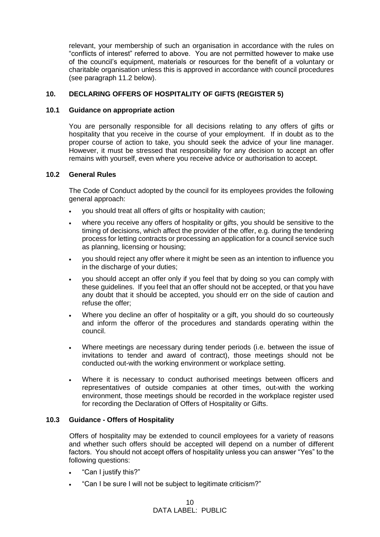relevant, your membership of such an organisation in accordance with the rules on "conflicts of interest" referred to above. You are not permitted however to make use of the council's equipment, materials or resources for the benefit of a voluntary or charitable organisation unless this is approved in accordance with council procedures (see paragraph 11.2 below).

#### **10. DECLARING OFFERS OF HOSPITALITY OF GIFTS (REGISTER 5)**

#### **10.1 Guidance on appropriate action**

You are personally responsible for all decisions relating to any offers of gifts or hospitality that you receive in the course of your employment. If in doubt as to the proper course of action to take, you should seek the advice of your line manager. However, it must be stressed that responsibility for any decision to accept an offer remains with yourself, even where you receive advice or authorisation to accept.

#### **10.2 General Rules**

The Code of Conduct adopted by the council for its employees provides the following general approach:

- you should treat all offers of gifts or hospitality with caution;
- where you receive any offers of hospitality or gifts, you should be sensitive to the timing of decisions, which affect the provider of the offer, e.g. during the tendering process for letting contracts or processing an application for a council service such as planning, licensing or housing;
- you should reject any offer where it might be seen as an intention to influence you in the discharge of your duties;
- you should accept an offer only if you feel that by doing so you can comply with these guidelines. If you feel that an offer should not be accepted, or that you have any doubt that it should be accepted, you should err on the side of caution and refuse the offer;
- Where you decline an offer of hospitality or a gift, you should do so courteously and inform the offeror of the procedures and standards operating within the council.
- Where meetings are necessary during tender periods (i.e. between the issue of invitations to tender and award of contract), those meetings should not be conducted out-with the working environment or workplace setting.
- Where it is necessary to conduct authorised meetings between officers and representatives of outside companies at other times, out-with the working environment, those meetings should be recorded in the workplace register used for recording the Declaration of Offers of Hospitality or Gifts.

#### **10.3 Guidance - Offers of Hospitality**

Offers of hospitality may be extended to council employees for a variety of reasons and whether such offers should be accepted will depend on a number of different factors. You should not accept offers of hospitality unless you can answer "Yes" to the following questions:

- "Can I justify this?"
- "Can I be sure I will not be subject to legitimate criticism?"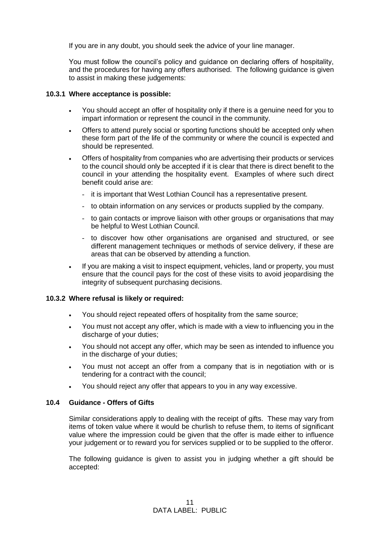If you are in any doubt, you should seek the advice of your line manager.

You must follow the council's policy and guidance on declaring offers of hospitality, and the procedures for having any offers authorised. The following guidance is given to assist in making these judgements:

#### **10.3.1 Where acceptance is possible:**

- You should accept an offer of hospitality only if there is a genuine need for you to impart information or represent the council in the community.
- Offers to attend purely social or sporting functions should be accepted only when these form part of the life of the community or where the council is expected and should be represented.
- Offers of hospitality from companies who are advertising their products or services to the council should only be accepted if it is clear that there is direct benefit to the council in your attending the hospitality event. Examples of where such direct benefit could arise are:
	- it is important that West Lothian Council has a representative present.
	- to obtain information on any services or products supplied by the company.
	- to gain contacts or improve liaison with other groups or organisations that may be helpful to West Lothian Council.
	- to discover how other organisations are organised and structured, or see different management techniques or methods of service delivery, if these are areas that can be observed by attending a function.
- If you are making a visit to inspect equipment, vehicles, land or property, you must ensure that the council pays for the cost of these visits to avoid jeopardising the integrity of subsequent purchasing decisions.

#### **10.3.2 Where refusal is likely or required:**

- You should reject repeated offers of hospitality from the same source;
- You must not accept any offer, which is made with a view to influencing you in the discharge of your duties;
- You should not accept any offer, which may be seen as intended to influence you in the discharge of your duties;
- You must not accept an offer from a company that is in negotiation with or is tendering for a contract with the council;
- You should reject any offer that appears to you in any way excessive.

#### **10.4 Guidance - Offers of Gifts**

Similar considerations apply to dealing with the receipt of gifts. These may vary from items of token value where it would be churlish to refuse them, to items of significant value where the impression could be given that the offer is made either to influence your judgement or to reward you for services supplied or to be supplied to the offeror.

The following guidance is given to assist you in judging whether a gift should be accepted: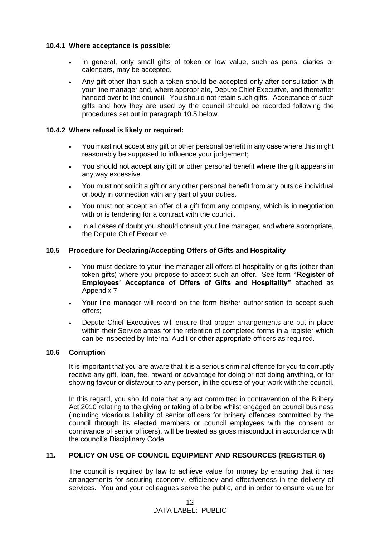#### **10.4.1 Where acceptance is possible:**

- In general, only small gifts of token or low value, such as pens, diaries or calendars, may be accepted.
- Any gift other than such a token should be accepted only after consultation with your line manager and, where appropriate, Depute Chief Executive, and thereafter handed over to the council. You should not retain such gifts. Acceptance of such gifts and how they are used by the council should be recorded following the procedures set out in paragraph 10.5 below.

#### **10.4.2 Where refusal is likely or required:**

- You must not accept any gift or other personal benefit in any case where this might reasonably be supposed to influence your judgement;
- You should not accept any gift or other personal benefit where the gift appears in any way excessive.
- You must not solicit a gift or any other personal benefit from any outside individual or body in connection with any part of your duties.
- You must not accept an offer of a gift from any company, which is in negotiation with or is tendering for a contract with the council.
- In all cases of doubt you should consult your line manager, and where appropriate, the Depute Chief Executive.

#### **10.5 Procedure for Declaring/Accepting Offers of Gifts and Hospitality**

- You must declare to your line manager all offers of hospitality or gifts (other than token gifts) where you propose to accept such an offer. See form **"Register of Employees' Acceptance of Offers of Gifts and Hospitality"** attached as Appendix 7;
- Your line manager will record on the form his/her authorisation to accept such offers;
- Depute Chief Executives will ensure that proper arrangements are put in place within their Service areas for the retention of completed forms in a register which can be inspected by Internal Audit or other appropriate officers as required.

#### **10.6 Corruption**

It is important that you are aware that it is a serious criminal offence for you to corruptly receive any gift, loan, fee, reward or advantage for doing or not doing anything, or for showing favour or disfavour to any person, in the course of your work with the council.

In this regard, you should note that any act committed in contravention of the Bribery Act 2010 relating to the giving or taking of a bribe whilst engaged on council business (including vicarious liability of senior officers for bribery offences committed by the council through its elected members or council employees with the consent or connivance of senior officers), will be treated as gross misconduct in accordance with the council's Disciplinary Code.

#### **11. POLICY ON USE OF COUNCIL EQUIPMENT AND RESOURCES (REGISTER 6)**

The council is required by law to achieve value for money by ensuring that it has arrangements for securing economy, efficiency and effectiveness in the delivery of services. You and your colleagues serve the public, and in order to ensure value for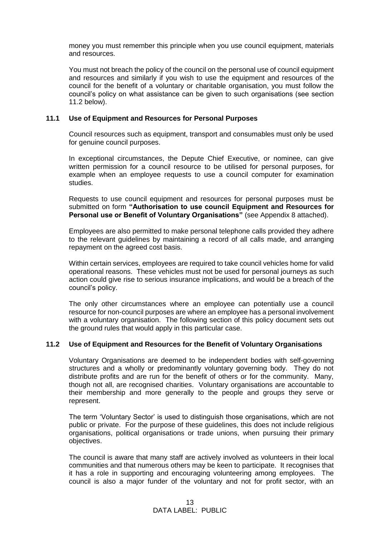money you must remember this principle when you use council equipment, materials and resources.

You must not breach the policy of the council on the personal use of council equipment and resources and similarly if you wish to use the equipment and resources of the council for the benefit of a voluntary or charitable organisation, you must follow the council's policy on what assistance can be given to such organisations (see section 11.2 below).

#### **11.1 Use of Equipment and Resources for Personal Purposes**

Council resources such as equipment, transport and consumables must only be used for genuine council purposes.

In exceptional circumstances, the Depute Chief Executive, or nominee, can give written permission for a council resource to be utilised for personal purposes, for example when an employee requests to use a council computer for examination studies.

Requests to use council equipment and resources for personal purposes must be submitted on form **"Authorisation to use council Equipment and Resources for Personal use or Benefit of Voluntary Organisations"** (see Appendix 8 attached).

Employees are also permitted to make personal telephone calls provided they adhere to the relevant guidelines by maintaining a record of all calls made, and arranging repayment on the agreed cost basis.

Within certain services, employees are required to take council vehicles home for valid operational reasons. These vehicles must not be used for personal journeys as such action could give rise to serious insurance implications, and would be a breach of the council's policy.

The only other circumstances where an employee can potentially use a council resource for non-council purposes are where an employee has a personal involvement with a voluntary organisation. The following section of this policy document sets out the ground rules that would apply in this particular case.

#### **11.2 Use of Equipment and Resources for the Benefit of Voluntary Organisations**

Voluntary Organisations are deemed to be independent bodies with self-governing structures and a wholly or predominantly voluntary governing body. They do not distribute profits and are run for the benefit of others or for the community. Many, though not all, are recognised charities. Voluntary organisations are accountable to their membership and more generally to the people and groups they serve or represent.

The term 'Voluntary Sector' is used to distinguish those organisations, which are not public or private. For the purpose of these guidelines, this does not include religious organisations, political organisations or trade unions, when pursuing their primary objectives.

The council is aware that many staff are actively involved as volunteers in their local communities and that numerous others may be keen to participate. It recognises that it has a role in supporting and encouraging volunteering among employees. The council is also a major funder of the voluntary and not for profit sector, with an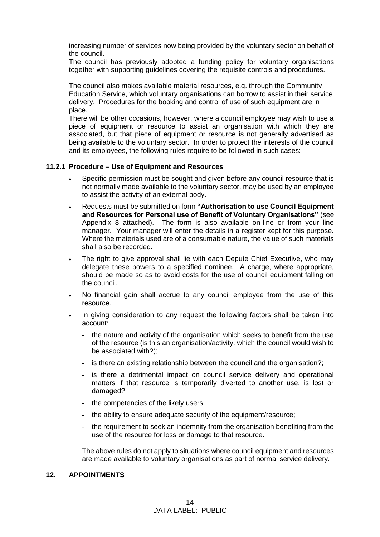increasing number of services now being provided by the voluntary sector on behalf of the council.

The council has previously adopted a funding policy for voluntary organisations together with supporting guidelines covering the requisite controls and procedures.

The council also makes available material resources, e.g. through the Community Education Service, which voluntary organisations can borrow to assist in their service delivery. Procedures for the booking and control of use of such equipment are in place.

There will be other occasions, however, where a council employee may wish to use a piece of equipment or resource to assist an organisation with which they are associated, but that piece of equipment or resource is not generally advertised as being available to the voluntary sector. In order to protect the interests of the council and its employees, the following rules require to be followed in such cases:

#### **11.2.1 Procedure – Use of Equipment and Resources**

- Specific permission must be sought and given before any council resource that is not normally made available to the voluntary sector, may be used by an employee to assist the activity of an external body.
- Requests must be submitted on form **"Authorisation to use Council Equipment and Resources for Personal use of Benefit of Voluntary Organisations"** (see Appendix 8 attached). The form is also available on-line or from your line manager. Your manager will enter the details in a register kept for this purpose. Where the materials used are of a consumable nature, the value of such materials shall also be recorded.
- The right to give approval shall lie with each Depute Chief Executive, who may delegate these powers to a specified nominee. A charge, where appropriate, should be made so as to avoid costs for the use of council equipment falling on the council.
- No financial gain shall accrue to any council employee from the use of this resource.
- In giving consideration to any request the following factors shall be taken into account:
	- the nature and activity of the organisation which seeks to benefit from the use of the resource (is this an organisation/activity, which the council would wish to be associated with?);
	- is there an existing relationship between the council and the organisation?;
	- is there a detrimental impact on council service delivery and operational matters if that resource is temporarily diverted to another use, is lost or damaged?;
	- the competencies of the likely users;
	- the ability to ensure adequate security of the equipment/resource;
	- the requirement to seek an indemnity from the organisation benefiting from the use of the resource for loss or damage to that resource.

The above rules do not apply to situations where council equipment and resources are made available to voluntary organisations as part of normal service delivery.

#### **12. APPOINTMENTS**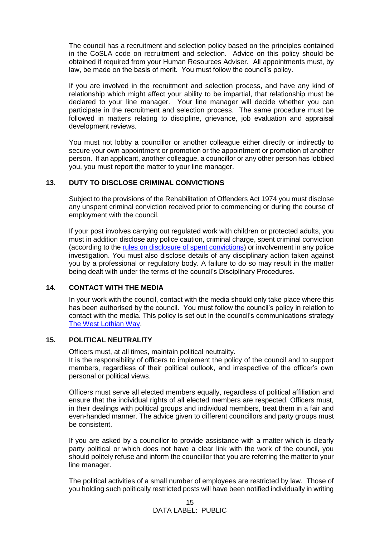The council has a recruitment and selection policy based on the principles contained in the CoSLA code on recruitment and selection. Advice on this policy should be obtained if required from your Human Resources Adviser. All appointments must, by law, be made on the basis of merit. You must follow the council's policy.

If you are involved in the recruitment and selection process, and have any kind of relationship which might affect your ability to be impartial, that relationship must be declared to your line manager. Your line manager will decide whether you can participate in the recruitment and selection process. The same procedure must be followed in matters relating to discipline, grievance, job evaluation and appraisal development reviews.

You must not lobby a councillor or another colleague either directly or indirectly to secure your own appointment or promotion or the appointment or promotion of another person. If an applicant, another colleague, a councillor or any other person has lobbied you, you must report the matter to your line manager.

#### **13. DUTY TO DISCLOSE CRIMINAL CONVICTIONS**

Subject to the provisions of the Rehabilitation of Offenders Act 1974 you must disclose any unspent criminal conviction received prior to commencing or during the course of employment with the council.

If your post involves carrying out regulated work with children or protected adults, you must in addition disclose any police caution, criminal charge, spent criminal conviction (according to the [rules on disclosure of spent convictions\)](https://www.mygov.scot/convictions-higher-level-disclosures/spent-convictions) or involvement in any police investigation. You must also disclose details of any disciplinary action taken against you by a professional or regulatory body. A failure to do so may result in the matter being dealt with under the terms of the council's Disciplinary Procedures.

#### **14. CONTACT WITH THE MEDIA**

In your work with the council, contact with the media should only take place where this has been authorised by the council. You must follow the council's policy in relation to contact with the media. This policy is set out in the council's communications strategy [The West Lothian Way.](https://intranet.westlothian.gov.uk/westlothianway)

#### **15. POLITICAL NEUTRALITY**

Officers must, at all times, maintain political neutrality.

It is the responsibility of officers to implement the policy of the council and to support members, regardless of their political outlook, and irrespective of the officer's own personal or political views.

Officers must serve all elected members equally, regardless of political affiliation and ensure that the individual rights of all elected members are respected. Officers must, in their dealings with political groups and individual members, treat them in a fair and even-handed manner. The advice given to different councillors and party groups must be consistent.

If you are asked by a councillor to provide assistance with a matter which is clearly party political or which does not have a clear link with the work of the council, you should politely refuse and inform the councillor that you are referring the matter to your line manager.

The political activities of a small number of employees are restricted by law. Those of you holding such politically restricted posts will have been notified individually in writing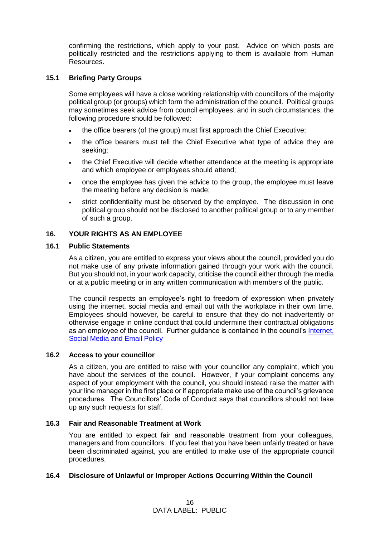confirming the restrictions, which apply to your post. Advice on which posts are politically restricted and the restrictions applying to them is available from Human Resources.

#### **15.1 Briefing Party Groups**

Some employees will have a close working relationship with councillors of the majority political group (or groups) which form the administration of the council. Political groups may sometimes seek advice from council employees, and in such circumstances, the following procedure should be followed:

- the office bearers (of the group) must first approach the Chief Executive;
- the office bearers must tell the Chief Executive what type of advice they are seeking;
- the Chief Executive will decide whether attendance at the meeting is appropriate and which employee or employees should attend;
- once the employee has given the advice to the group, the employee must leave the meeting before any decision is made;
- strict confidentiality must be observed by the employee. The discussion in one political group should not be disclosed to another political group or to any member of such a group.

#### **16. YOUR RIGHTS AS AN EMPLOYEE**

#### **16.1 Public Statements**

As a citizen, you are entitled to express your views about the council, provided you do not make use of any private information gained through your work with the council. But you should not, in your work capacity, criticise the council either through the media or at a public meeting or in any written communication with members of the public.

The council respects an employee's right to freedom of expression when privately using the internet, social media and email out with the workplace in their own time. Employees should however, be careful to ensure that they do not inadvertently or otherwise engage in online conduct that could undermine their contractual obligations as an employee of the council. Further guidance is contained in the council's [Internet,](https://www.westlothian.gov.uk/article/33223/Internet-Social-Media-and-E-Mail)  [Social Media and Email Policy](https://www.westlothian.gov.uk/article/33223/Internet-Social-Media-and-E-Mail)

#### **16.2 Access to your councillor**

As a citizen, you are entitled to raise with your councillor any complaint, which you have about the services of the council. However, if your complaint concerns any aspect of your employment with the council, you should instead raise the matter with your line manager in the first place or if appropriate make use of the council's grievance procedures. The Councillors' Code of Conduct says that councillors should not take up any such requests for staff.

#### **16.3 Fair and Reasonable Treatment at Work**

You are entitled to expect fair and reasonable treatment from your colleagues, managers and from councillors. If you feel that you have been unfairly treated or have been discriminated against, you are entitled to make use of the appropriate council procedures.

#### **16.4 Disclosure of Unlawful or Improper Actions Occurring Within the Council**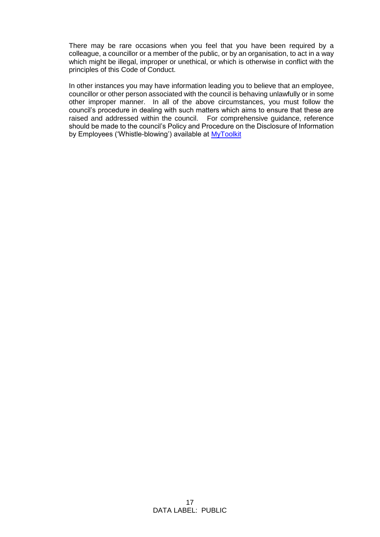There may be rare occasions when you feel that you have been required by a colleague, a councillor or a member of the public, or by an organisation, to act in a way which might be illegal, improper or unethical, or which is otherwise in conflict with the principles of this Code of Conduct.

In other instances you may have information leading you to believe that an employee, councillor or other person associated with the council is behaving unlawfully or in some other improper manner. In all of the above circumstances, you must follow the council's procedure in dealing with such matters which aims to ensure that these are raised and addressed within the council. For comprehensive guidance, reference should be made to the council's Policy and Procedure on the Disclosure of Information by Employees ('Whistle-blowing') available at [MyToolkit](http://www.westlothian.gov.uk/hr-services)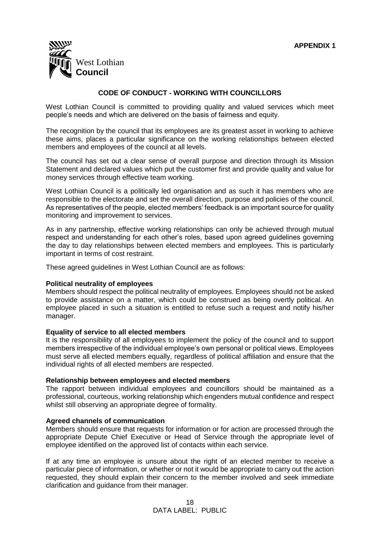

#### **CODE OF CONDUCT - WORKING WITH COUNCILLORS**

West Lothian Council is committed to providing quality and valued services which meet people's needs and which are delivered on the basis of fairness and equity.

The recognition by the council that its employees are its greatest asset in working to achieve these aims, places a particular significance on the working relationships between elected members and employees of the council at all levels.

The council has set out a clear sense of overall purpose and direction through its Mission Statement and declared values which put the customer first and provide quality and value for money services through effective team working.

West Lothian Council is a politically led organisation and as such it has members who are responsible to the electorate and set the overall direction, purpose and policies of the council. As representatives of the people, elected members' feedback is an important source for quality monitoring and improvement to services.

As in any partnership, effective working relationships can only be achieved through mutual respect and understanding for each other's roles, based upon agreed guidelines governing the day to day relationships between elected members and employees. This is particularly important in terms of cost restraint.

These agreed guidelines in West Lothian Council are as follows:

#### **Political neutrality of employees**

Members should respect the political neutrality of employees. Employees should not be asked to provide assistance on a matter, which could be construed as being overtly political. An employee placed in such a situation is entitled to refuse such a request and notify his/her manager.

#### **Equality of service to all elected members**

It is the responsibility of all employees to implement the policy of the council and to support members irrespective of the individual employee's own personal or political views. Employees must serve all elected members equally, regardless of political affiliation and ensure that the individual rights of all elected members are respected.

#### **Relationship between employees and elected members**

The rapport between individual employees and councillors should be maintained as a professional, courteous, working relationship which engenders mutual confidence and respect whilst still observing an appropriate degree of formality.

#### **Agreed channels of communication**

Members should ensure that requests for information or for action are processed through the appropriate Depute Chief Executive or Head of Service through the appropriate level of employee identified on the approved list of contacts within each service.

If at any time an employee is unsure about the right of an elected member to receive a particular piece of information, or whether or not it would be appropriate to carry out the action requested, they should explain their concern to the member involved and seek immediate clarification and guidance from their manager.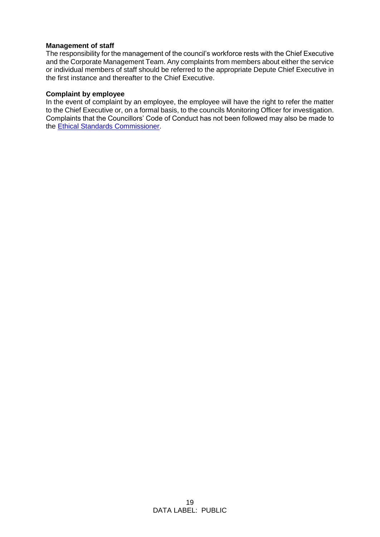#### **Management of staff**

The responsibility for the management of the council's workforce rests with the Chief Executive and the Corporate Management Team. Any complaints from members about either the service or individual members of staff should be referred to the appropriate Depute Chief Executive in the first instance and thereafter to the Chief Executive.

#### **Complaint by employee**

In the event of complaint by an employee, the employee will have the right to refer the matter to the Chief Executive or, on a formal basis, to the councils Monitoring Officer for investigation. Complaints that the Councillors' Code of Conduct has not been followed may also be made to the [Ethical Standards Commissioner.](https://www.ethicalstandards.org.uk/make-complaint)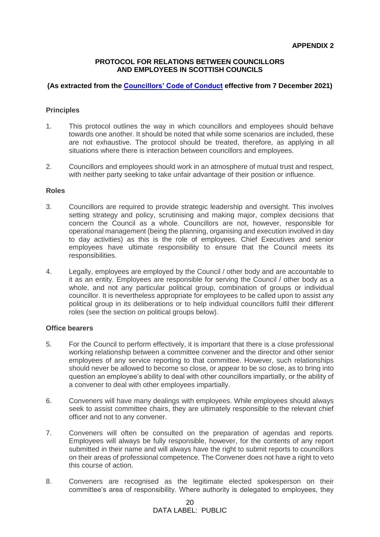#### **PROTOCOL FOR RELATIONS BETWEEN COUNCILLORS AND EMPLOYEES IN SCOTTISH COUNCILS**

#### **(As extracted from the [Councillors' Code of Conduct](https://www.gov.scot/publications/councillors-code-conduct-2021/) effective from 7 December 2021)**

#### **Principles**

- 1. This protocol outlines the way in which councillors and employees should behave towards one another. It should be noted that while some scenarios are included, these are not exhaustive. The protocol should be treated, therefore, as applying in all situations where there is interaction between councillors and employees.
- 2. Councillors and employees should work in an atmosphere of mutual trust and respect, with neither party seeking to take unfair advantage of their position or influence.

#### **Roles**

- 3. Councillors are required to provide strategic leadership and oversight. This involves setting strategy and policy, scrutinising and making major, complex decisions that concern the Council as a whole. Councillors are not, however, responsible for operational management (being the planning, organising and execution involved in day to day activities) as this is the role of employees. Chief Executives and senior employees have ultimate responsibility to ensure that the Council meets its responsibilities.
- 4. Legally, employees are employed by the Council / other body and are accountable to it as an entity. Employees are responsible for serving the Council / other body as a whole, and not any particular political group, combination of groups or individual councillor. It is nevertheless appropriate for employees to be called upon to assist any political group in its deliberations or to help individual councillors fulfil their different roles (see the section on political groups below).

#### **Office bearers**

- 5. For the Council to perform effectively, it is important that there is a close professional working relationship between a committee convener and the director and other senior employees of any service reporting to that committee. However, such relationships should never be allowed to become so close, or appear to be so close, as to bring into question an employee's ability to deal with other councillors impartially, or the ability of a convener to deal with other employees impartially.
- 6. Conveners will have many dealings with employees. While employees should always seek to assist committee chairs, they are ultimately responsible to the relevant chief officer and not to any convener.
- 7. Conveners will often be consulted on the preparation of agendas and reports. Employees will always be fully responsible, however, for the contents of any report submitted in their name and will always have the right to submit reports to councillors on their areas of professional competence. The Convener does not have a right to veto this course of action.
- 8. Conveners are recognised as the legitimate elected spokesperson on their committee's area of responsibility. Where authority is delegated to employees, they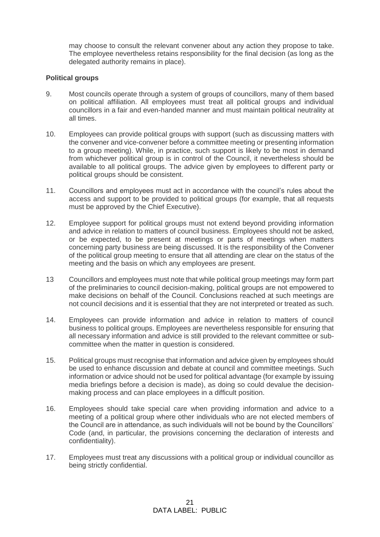may choose to consult the relevant convener about any action they propose to take. The employee nevertheless retains responsibility for the final decision (as long as the delegated authority remains in place).

#### **Political groups**

- 9. Most councils operate through a system of groups of councillors, many of them based on political affiliation. All employees must treat all political groups and individual councillors in a fair and even-handed manner and must maintain political neutrality at all times.
- 10. Employees can provide political groups with support (such as discussing matters with the convener and vice-convener before a committee meeting or presenting information to a group meeting). While, in practice, such support is likely to be most in demand from whichever political group is in control of the Council, it nevertheless should be available to all political groups. The advice given by employees to different party or political groups should be consistent.
- 11. Councillors and employees must act in accordance with the council's rules about the access and support to be provided to political groups (for example, that all requests must be approved by the Chief Executive).
- 12. Employee support for political groups must not extend beyond providing information and advice in relation to matters of council business. Employees should not be asked, or be expected, to be present at meetings or parts of meetings when matters concerning party business are being discussed. It is the responsibility of the Convener of the political group meeting to ensure that all attending are clear on the status of the meeting and the basis on which any employees are present.
- 13 Councillors and employees must note that while political group meetings may form part of the preliminaries to council decision-making, political groups are not empowered to make decisions on behalf of the Council. Conclusions reached at such meetings are not council decisions and it is essential that they are not interpreted or treated as such.
- 14. Employees can provide information and advice in relation to matters of council business to political groups. Employees are nevertheless responsible for ensuring that all necessary information and advice is still provided to the relevant committee or subcommittee when the matter in question is considered.
- 15. Political groups must recognise that information and advice given by employees should be used to enhance discussion and debate at council and committee meetings. Such information or advice should not be used for political advantage (for example by issuing media briefings before a decision is made), as doing so could devalue the decisionmaking process and can place employees in a difficult position.
- 16. Employees should take special care when providing information and advice to a meeting of a political group where other individuals who are not elected members of the Council are in attendance, as such individuals will not be bound by the Councillors' Code (and, in particular, the provisions concerning the declaration of interests and confidentiality).
- 17. Employees must treat any discussions with a political group or individual councillor as being strictly confidential.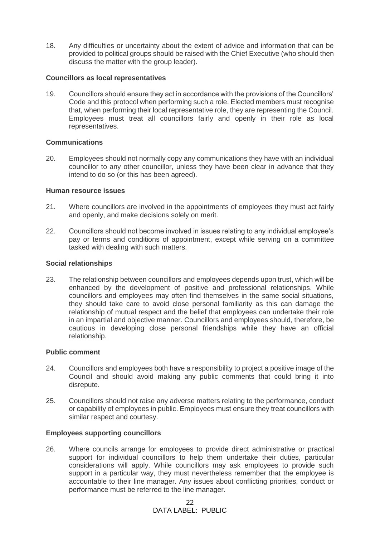18. Any difficulties or uncertainty about the extent of advice and information that can be provided to political groups should be raised with the Chief Executive (who should then discuss the matter with the group leader).

#### **Councillors as local representatives**

19. Councillors should ensure they act in accordance with the provisions of the Councillors' Code and this protocol when performing such a role. Elected members must recognise that, when performing their local representative role, they are representing the Council. Employees must treat all councillors fairly and openly in their role as local representatives.

#### **Communications**

20. Employees should not normally copy any communications they have with an individual councillor to any other councillor, unless they have been clear in advance that they intend to do so (or this has been agreed).

#### **Human resource issues**

- 21. Where councillors are involved in the appointments of employees they must act fairly and openly, and make decisions solely on merit.
- 22. Councillors should not become involved in issues relating to any individual employee's pay or terms and conditions of appointment, except while serving on a committee tasked with dealing with such matters.

#### **Social relationships**

23. The relationship between councillors and employees depends upon trust, which will be enhanced by the development of positive and professional relationships. While councillors and employees may often find themselves in the same social situations, they should take care to avoid close personal familiarity as this can damage the relationship of mutual respect and the belief that employees can undertake their role in an impartial and objective manner. Councillors and employees should, therefore, be cautious in developing close personal friendships while they have an official relationship.

#### **Public comment**

- 24. Councillors and employees both have a responsibility to project a positive image of the Council and should avoid making any public comments that could bring it into disrepute.
- 25. Councillors should not raise any adverse matters relating to the performance, conduct or capability of employees in public. Employees must ensure they treat councillors with similar respect and courtesy.

#### **Employees supporting councillors**

26. Where councils arrange for employees to provide direct administrative or practical support for individual councillors to help them undertake their duties, particular considerations will apply. While councillors may ask employees to provide such support in a particular way, they must nevertheless remember that the employee is accountable to their line manager. Any issues about conflicting priorities, conduct or performance must be referred to the line manager.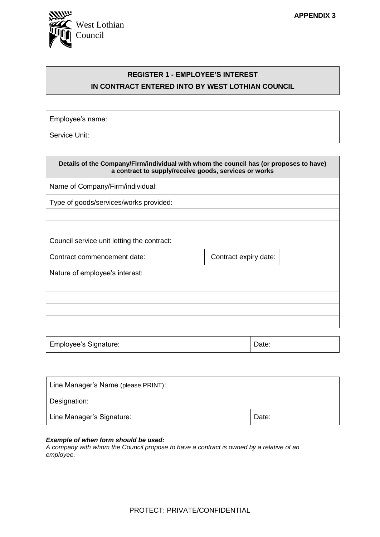

### **REGISTER 1 - EMPLOYEE'S INTEREST IN CONTRACT ENTERED INTO BY WEST LOTHIAN COUNCIL**

Employee's name:

Service Unit:

| Details of the Company/Firm/individual with whom the council has (or proposes to have)<br>a contract to supply/receive goods, services or works |                                        |                       |  |  |
|-------------------------------------------------------------------------------------------------------------------------------------------------|----------------------------------------|-----------------------|--|--|
| Name of Company/Firm/individual:                                                                                                                |                                        |                       |  |  |
|                                                                                                                                                 | Type of goods/services/works provided: |                       |  |  |
|                                                                                                                                                 |                                        |                       |  |  |
|                                                                                                                                                 |                                        |                       |  |  |
| Council service unit letting the contract:                                                                                                      |                                        |                       |  |  |
| Contract commencement date:                                                                                                                     |                                        | Contract expiry date: |  |  |
| Nature of employee's interest:                                                                                                                  |                                        |                       |  |  |
|                                                                                                                                                 |                                        |                       |  |  |
|                                                                                                                                                 |                                        |                       |  |  |
|                                                                                                                                                 |                                        |                       |  |  |
|                                                                                                                                                 |                                        |                       |  |  |

| Employee's Signature: | Date: |
|-----------------------|-------|
|                       |       |

| Line Manager's Name (please PRINT): |       |
|-------------------------------------|-------|
| Designation:                        |       |
| Line Manager's Signature:           | Date: |

#### *Example of when form should be used:*

*A company with whom the Council propose to have a contract is owned by a relative of an employee.*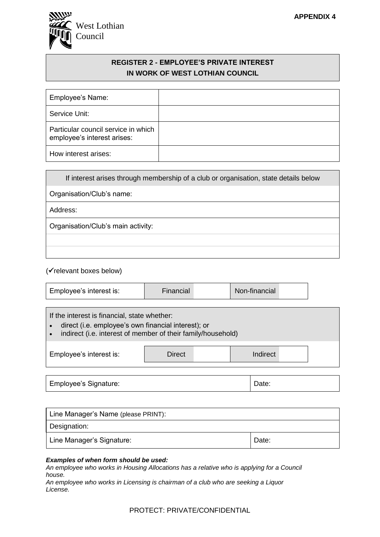

#### **REGISTER 2 - EMPLOYEE'S PRIVATE INTEREST IN WORK OF WEST LOTHIAN COUNCIL**

| Employee's Name:                                                   |  |
|--------------------------------------------------------------------|--|
| Service Unit:                                                      |  |
| Particular council service in which<br>employee's interest arises: |  |
| How interest arises:                                               |  |

If interest arises through membership of a club or organisation, state details below

Organisation/Club's name:

Address:

Organisation/Club's main activity:

(✓relevant boxes below)

|--|

If the interest is financial, state whether:

• direct (i.e. employee's own financial interest); or

• indirect (i.e. interest of member of their family/household)

| Employee's interest is: | <b>Direct</b> | Indirect |  |
|-------------------------|---------------|----------|--|
|                         |               |          |  |

Employee's Signature:  $\Box$  Date:

| Line Manager's Name (please PRINT): |       |
|-------------------------------------|-------|
| Designation:                        |       |
| Line Manager's Signature:           | Date: |

#### *Examples of when form should be used:*

*An employee who works in Housing Allocations has a relative who is applying for a Council house.*

*An employee who works in Licensing is chairman of a club who are seeking a Liquor License.*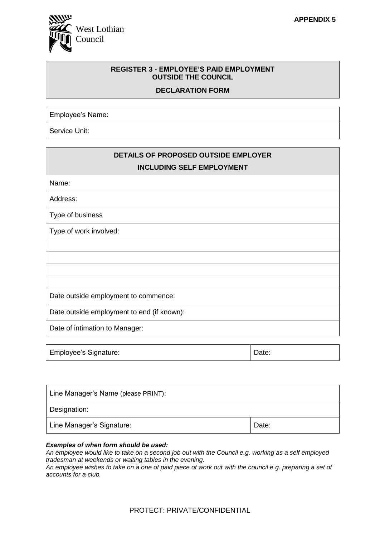

#### **REGISTER 3 - EMPLOYEE'S PAID EMPLOYMENT OUTSIDE THE COUNCIL**

#### **DECLARATION FORM**

Employee's Name:

Service Unit:

| DETAILS OF PROPOSED OUTSIDE EMPLOYER<br><b>INCLUDING SELF EMPLOYMENT</b> |
|--------------------------------------------------------------------------|
| Name:                                                                    |
| Address:                                                                 |
| Type of business                                                         |
| Type of work involved:                                                   |
|                                                                          |
|                                                                          |
|                                                                          |
|                                                                          |
| Date outside employment to commence:                                     |
| Date outside employment to end (if known):                               |
| Date of intimation to Manager:                                           |
|                                                                          |

| Employee's Signature: | Date: |
|-----------------------|-------|
|-----------------------|-------|

| Line Manager's Name (please PRINT): |       |
|-------------------------------------|-------|
| Designation:                        |       |
| Line Manager's Signature:           | Date: |

#### *Examples of when form should be used:*

*An employee would like to take on a second job out with the Council e.g. working as a self employed tradesman at weekends or waiting tables in the evening.*

*An employee wishes to take on a one of paid piece of work out with the council e.g. preparing a set of accounts for a club.*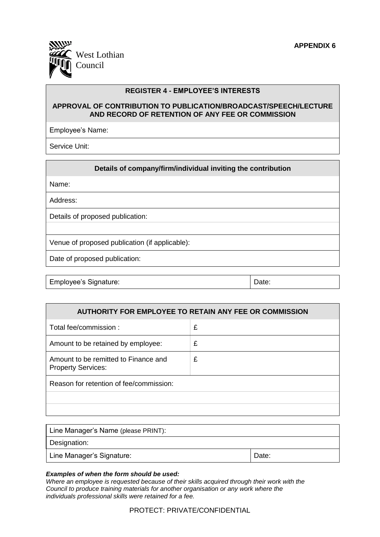

#### **REGISTER 4 - EMPLOYEE'S INTERESTS**

#### **APPROVAL OF CONTRIBUTION TO PUBLICATION/BROADCAST/SPEECH/LECTURE AND RECORD OF RETENTION OF ANY FEE OR COMMISSION**

Employee's Name:

Service Unit:

#### **Details of company/firm/individual inviting the contribution**

Name:

Address:

Details of proposed publication:

Venue of proposed publication (if applicable):

Date of proposed publication:

Employee's Signature:  $\Box$  Date:

| <b>AUTHORITY FOR EMPLOYEE TO RETAIN ANY FEE OR COMMISSION</b>     |   |  |
|-------------------------------------------------------------------|---|--|
| Total fee/commission:                                             | £ |  |
| Amount to be retained by employee:                                | £ |  |
| Amount to be remitted to Finance and<br><b>Property Services:</b> | £ |  |
| Reason for retention of fee/commission:                           |   |  |
|                                                                   |   |  |
|                                                                   |   |  |

| Line Manager's Name (please PRINT): |       |
|-------------------------------------|-------|
| Designation:                        |       |
| Line Manager's Signature:           | Date: |

#### *Examples of when the form should be used:*

*Where an employee is requested because of their skills acquired through their work with the Council to produce training materials for another organisation or any work where the individuals professional skills were retained for a fee.*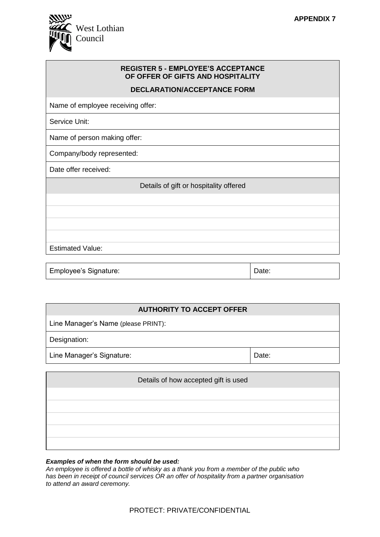

| <b>REGISTER 5 - EMPLOYEE'S ACCEPTANCE</b><br>OF OFFER OF GIFTS AND HOSPITALITY |
|--------------------------------------------------------------------------------|
| <b>DECLARATION/ACCEPTANCE FORM</b>                                             |
| Name of employee receiving offer:                                              |
| Service Unit:                                                                  |
| Name of person making offer:                                                   |
| Company/body represented:                                                      |
| Date offer received:                                                           |
| Details of gift or hospitality offered                                         |
|                                                                                |
|                                                                                |
|                                                                                |
|                                                                                |
| <b>Estimated Value:</b>                                                        |
|                                                                                |

Employee's Signature:  $\Box$  Date:

| <b>AUTHORITY TO ACCEPT OFFER</b>    |       |  |
|-------------------------------------|-------|--|
| Line Manager's Name (please PRINT): |       |  |
| Designation:                        |       |  |
| Line Manager's Signature:           | Date: |  |
|                                     |       |  |

| Details of how accepted gift is used |
|--------------------------------------|
|                                      |
|                                      |
|                                      |
|                                      |
|                                      |

#### *Examples of when the form should be used:*

*An employee is offered a bottle of whisky as a thank you from a member of the public who has been in receipt of council services OR an offer of hospitality from a partner organisation to attend an award ceremony.*